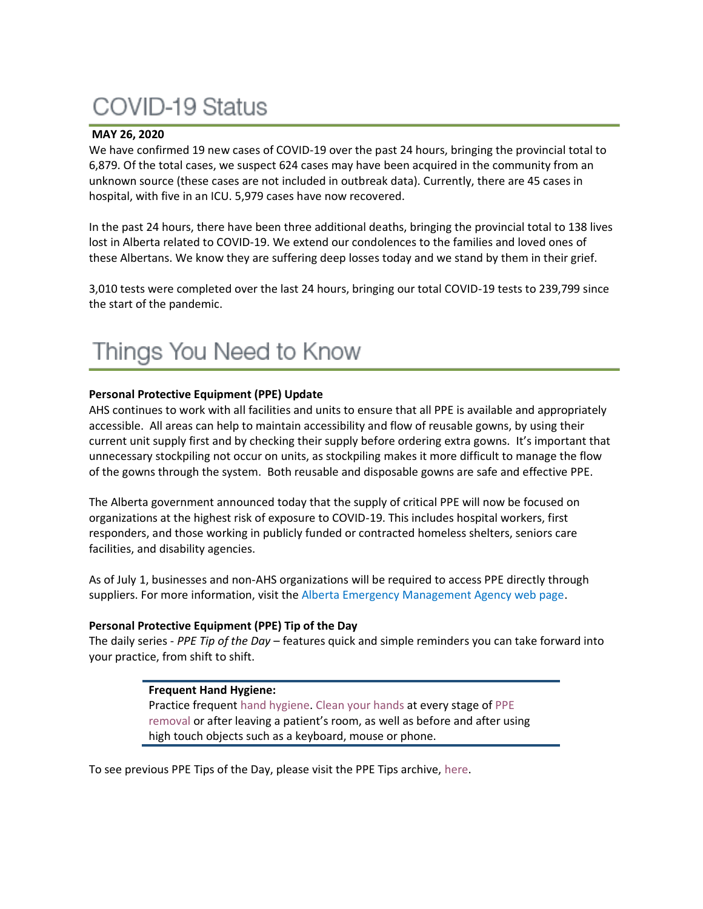# **COVID-19 Status**

#### **MAY 26, 2020**

We have confirmed 19 new cases of COVID-19 over the past 24 hours, bringing the provincial total to 6,879. Of the total cases, we suspect 624 cases may have been acquired in the community from an unknown source (these cases are not included in outbreak data). Currently, there are 45 cases in hospital, with five in an ICU. 5,979 cases have now recovered.

In the past 24 hours, there have been three additional deaths, bringing the provincial total to 138 lives lost in Alberta related to COVID-19. We extend our condolences to the families and loved ones of these Albertans. We know they are suffering deep losses today and we stand by them in their grief.

3,010 tests were completed over the last 24 hours, bringing our total COVID-19 tests to 239,799 since the start of the pandemic.

#### **Personal Protective Equipment (PPE) Update**

AHS continues to work with all facilities and units to ensure that all PPE is available and appropriately accessible. All areas can help to maintain accessibility and flow of reusable gowns, by using their current unit supply first and by checking their supply before ordering extra gowns. It's important that unnecessary stockpiling not occur on units, as stockpiling makes it more difficult to manage the flow of the gowns through the system. Both reusable and disposable gowns are safe and effective PPE.

The Alberta government announced today that the supply of critical PPE will now be focused on organizations at the highest risk of exposure to COVID-19. This includes hospital workers, first responders, and those working in publicly funded or contracted homeless shelters, seniors care facilities, and disability agencies.

As of July 1, businesses and non-AHS organizations will be required to access PPE directly through suppliers. For more information, visit the [Alberta Emergency Management Agency web page.](https://www.alberta.ca/alberta-emergency-management-agency.aspx)

#### **Personal Protective Equipment (PPE) Tip of the Day**

The daily series - *PPE Tip of the Day* – features quick and simple reminders you can take forward into your practice, from shift to shift.

> **Frequent Hand Hygiene:** Practice frequent [hand hygiene.](https://www.albertahealthservices.ca/assets/healthinfo/ipc/if-hp-ipc-flu-handwash-how-to.pdf) [Clean your hands](https://www.albertahealthservices.ca/assets/healthinfo/ipc/if-hp-ipc-flu-handwash-how-to.pdf) at every stage of [PPE](https://www.albertahealthservices.ca/assets/Infofor/hp/if-hp-ipc-doffing-ppe-poster.pdf)  [removal](https://www.albertahealthservices.ca/assets/Infofor/hp/if-hp-ipc-doffing-ppe-poster.pdf) or after leaving a patient's room, as well as before and after using high touch objects such as a keyboard, mouse or phone.

To see previous PPE Tips of the Day, please visit the PPE Tips archive, [here.](https://www.albertahealthservices.ca/topics/Page17119.aspx)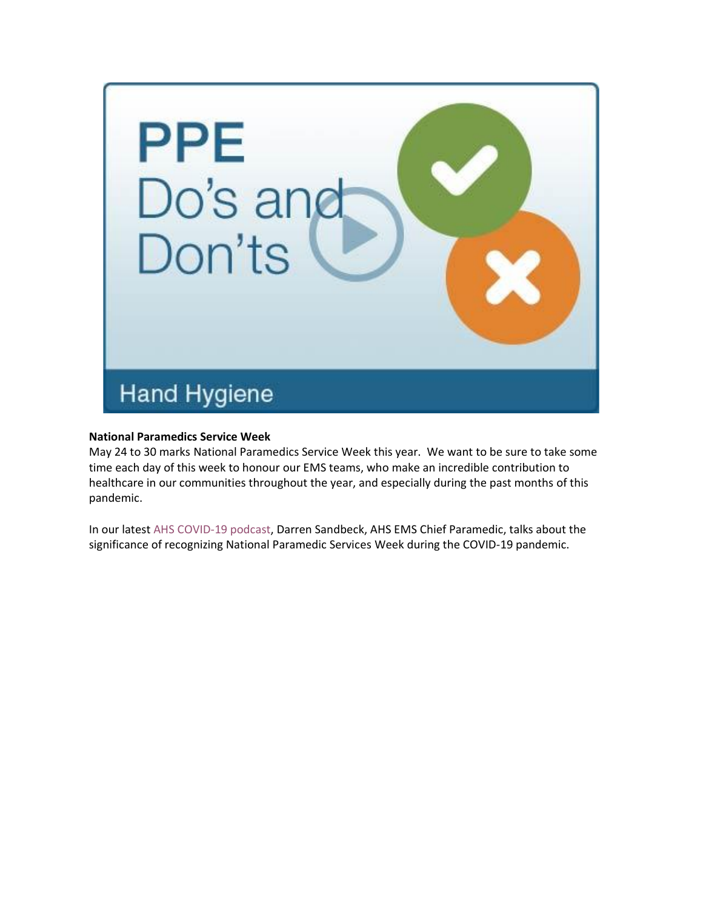

#### **National Paramedics Service Week**

May 24 to 30 marks National Paramedics Service Week this year. We want to be sure to take some time each day of this week to honour our EMS teams, who make an incredible contribution to healthcare in our communities throughout the year, and especially during the past months of this pandemic.

In our latest [AHS COVID-19 podcast,](applewebdata://A4349315-77FB-4133-9A3F-04DE81F584FF/ahs.ca/covidpodcast) Darren Sandbeck, AHS EMS Chief Paramedic, talks about the significance of recognizing National Paramedic Services Week during the COVID-19 pandemic.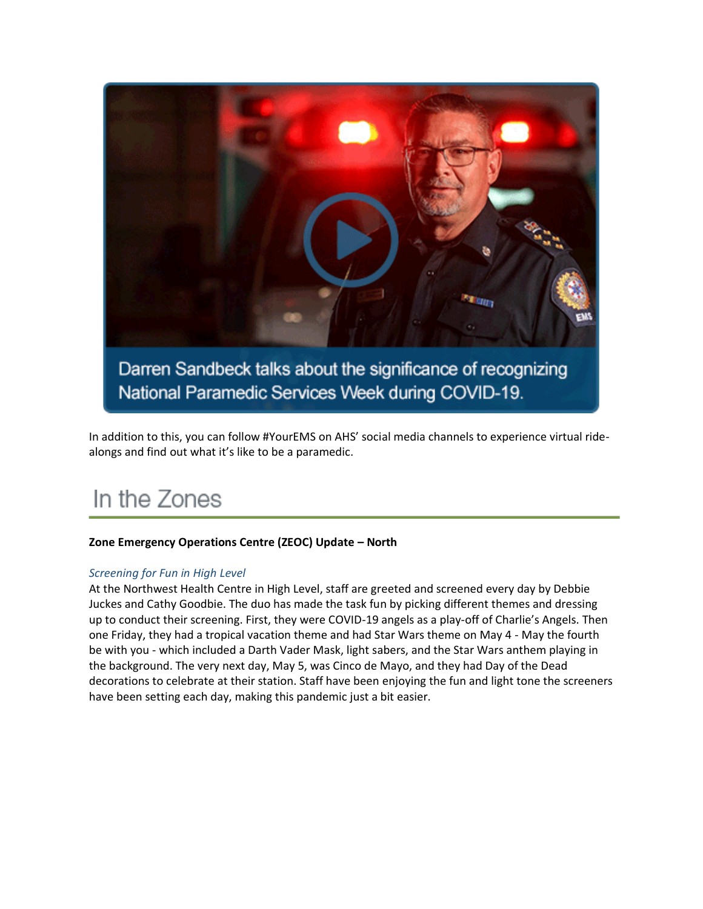

In addition to this, you can follow #YourEMS on AHS' social media channels to experience virtual ridealongs and find out what it's like to be a paramedic.

## In the Zones

#### **Zone Emergency Operations Centre (ZEOC) Update – North**

#### *Screening for Fun in High Level*

At the Northwest Health Centre in High Level, staff are greeted and screened every day by Debbie Juckes and Cathy Goodbie. The duo has made the task fun by picking different themes and dressing up to conduct their screening. First, they were COVID-19 angels as a play-off of Charlie's Angels. Then one Friday, they had a tropical vacation theme and had Star Wars theme on May 4 - May the fourth be with you - which included a Darth Vader Mask, light sabers, and the Star Wars anthem playing in the background. The very next day, May 5, was Cinco de Mayo, and they had Day of the Dead decorations to celebrate at their station. Staff have been enjoying the fun and light tone the screeners have been setting each day, making this pandemic just a bit easier.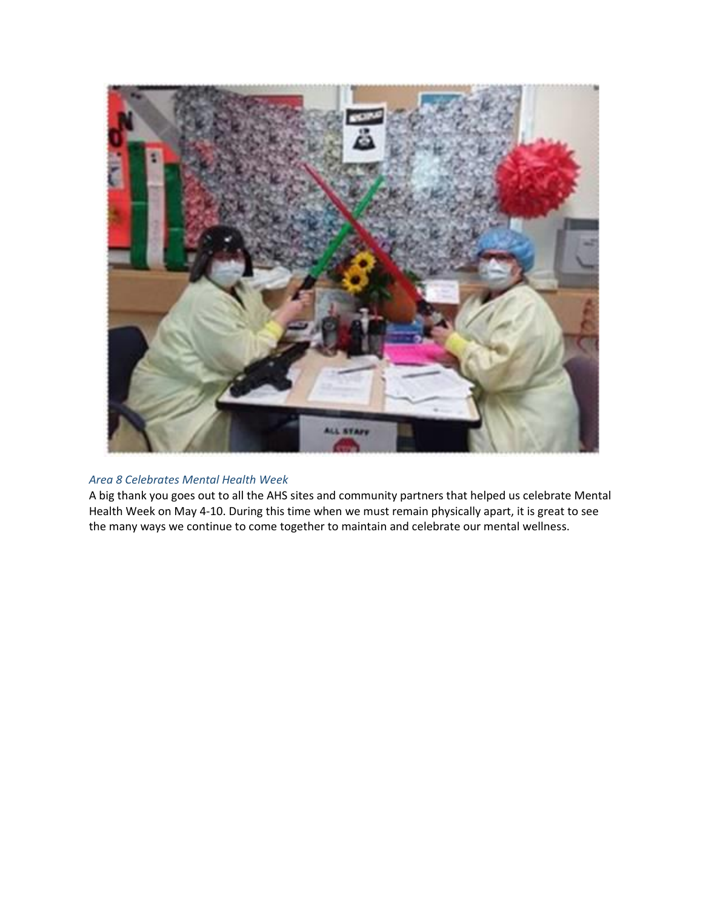

#### *Area 8 Celebrates Mental Health Week*

A big thank you goes out to all the AHS sites and community partners that helped us celebrate Mental Health Week on May 4-10. During this time when we must remain physically apart, it is great to see the many ways we continue to come together to maintain and celebrate our mental wellness.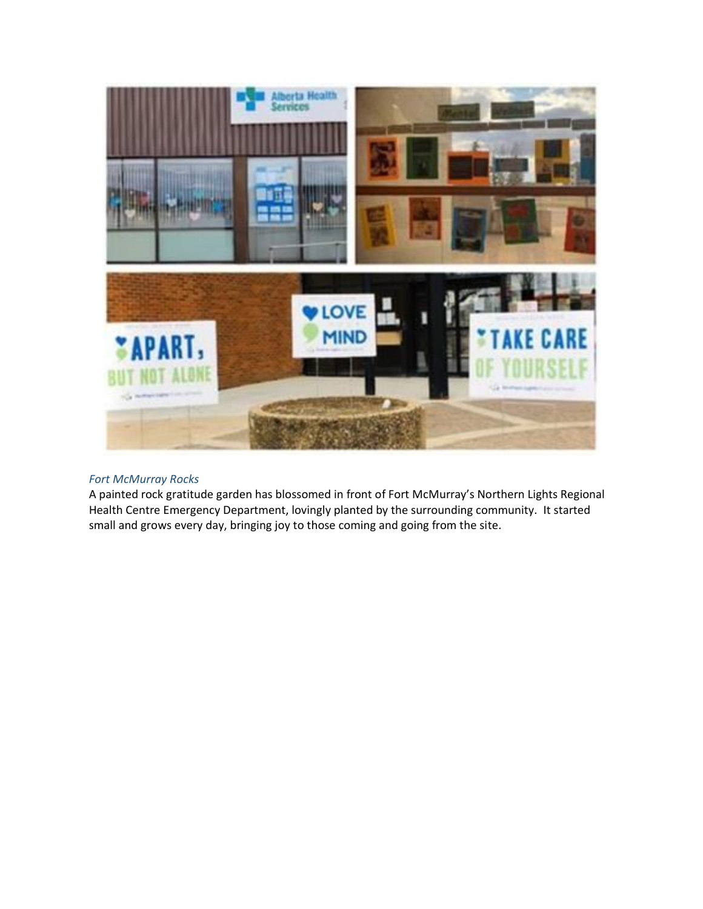

#### *Fort McMurray Rocks*

A painted rock gratitude garden has blossomed in front of Fort McMurray's Northern Lights Regional Health Centre Emergency Department, lovingly planted by the surrounding community. It started small and grows every day, bringing joy to those coming and going from the site.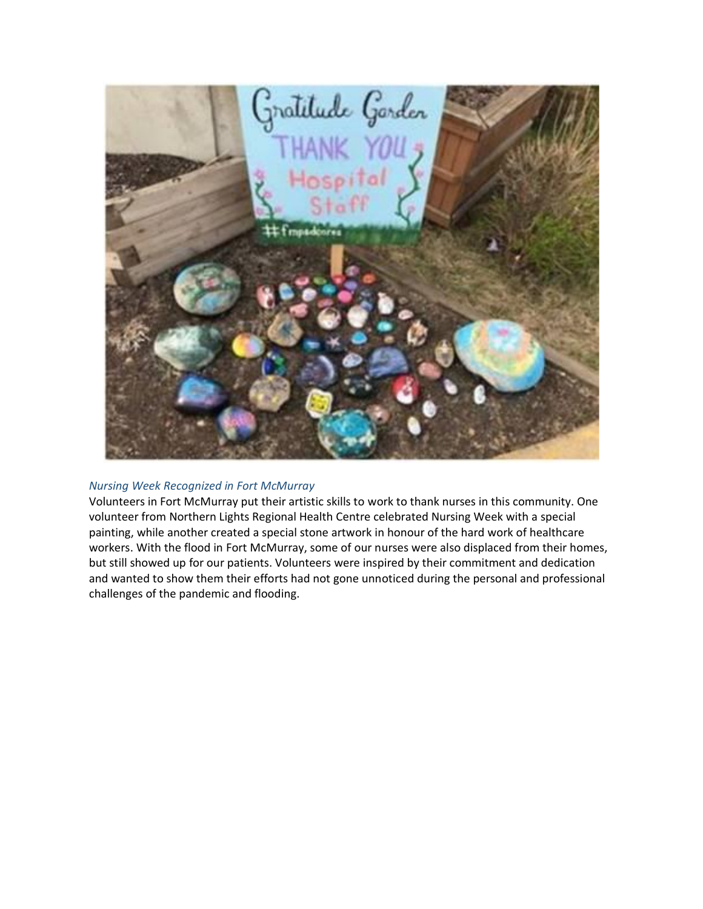

#### *Nursing Week Recognized in Fort McMurray*

Volunteers in Fort McMurray put their artistic skills to work to thank nurses in this community. One volunteer from Northern Lights Regional Health Centre celebrated Nursing Week with a special painting, while another created a special stone artwork in honour of the hard work of healthcare workers. With the flood in Fort McMurray, some of our nurses were also displaced from their homes, but still showed up for our patients. Volunteers were inspired by their commitment and dedication and wanted to show them their efforts had not gone unnoticed during the personal and professional challenges of the pandemic and flooding.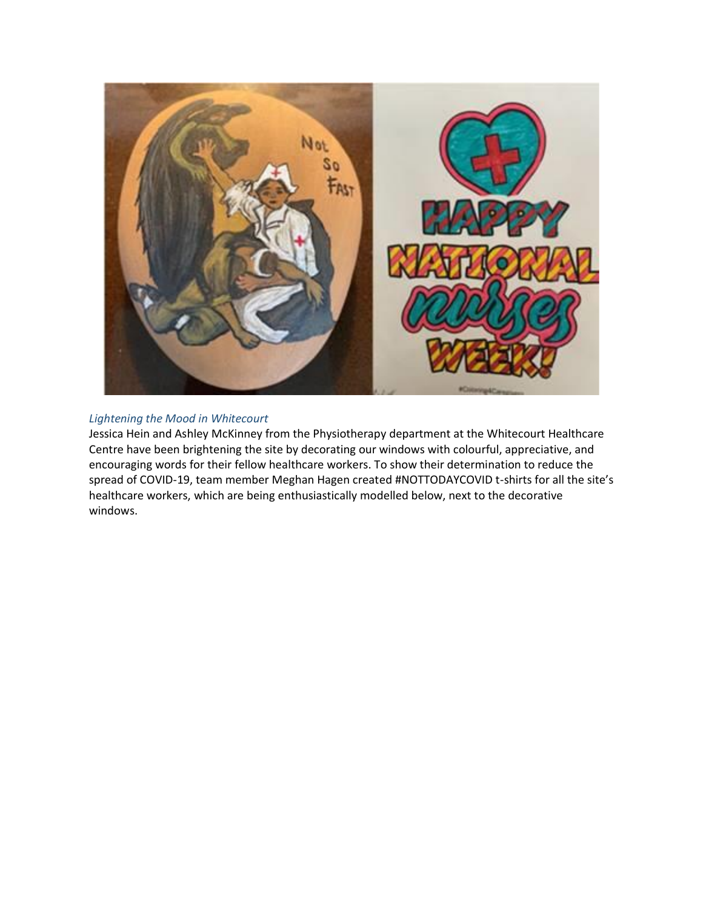

#### *Lightening the Mood in Whitecourt*

Jessica Hein and Ashley McKinney from the Physiotherapy department at the Whitecourt Healthcare Centre have been brightening the site by decorating our windows with colourful, appreciative, and encouraging words for their fellow healthcare workers. To show their determination to reduce the spread of COVID-19, team member Meghan Hagen created #NOTTODAYCOVID t-shirts for all the site's healthcare workers, which are being enthusiastically modelled below, next to the decorative windows.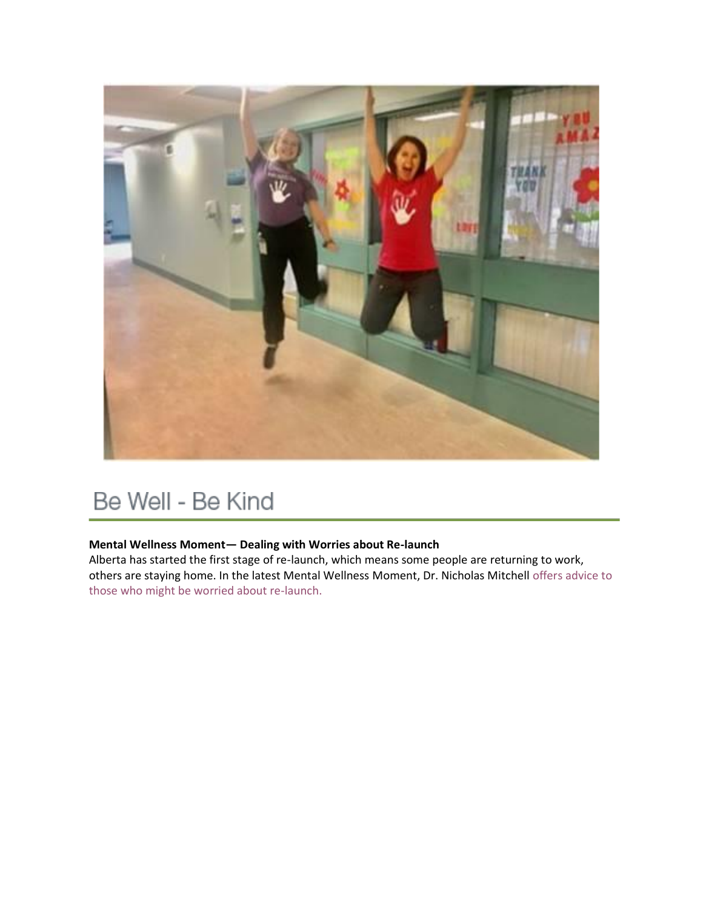

## Be Well - Be Kind

### **Mental Wellness Moment— Dealing with Worries about Re-launch**

Alberta has started the first stage of re-launch, which means some people are returning to work, others are staying home. In the latest Mental Wellness Moment, Dr. Nicholas Mitchell [offers advice to](https://www.albertahealthservices.ca/topics/Page17012.aspx)  [those who might be worried about re-launch.](https://www.albertahealthservices.ca/topics/Page17012.aspx)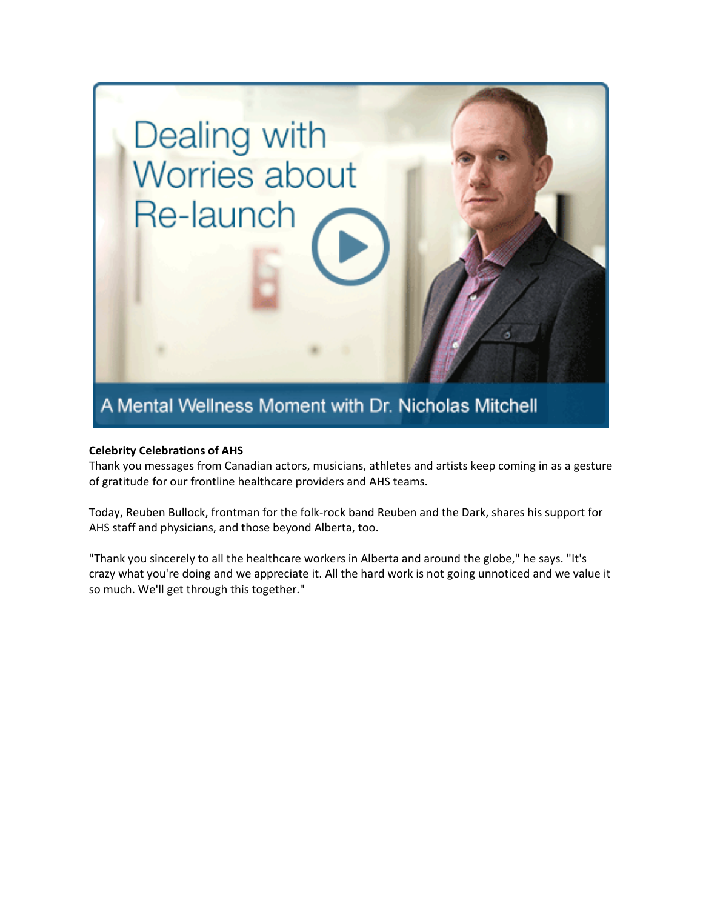

#### **Celebrity Celebrations of AHS**

Thank you messages from Canadian actors, musicians, athletes and artists keep coming in as a gesture of gratitude for our frontline healthcare providers and AHS teams.

Today, Reuben Bullock, frontman for the folk-rock band Reuben and the Dark, shares his support for AHS staff and physicians, and those beyond Alberta, too.

"Thank you sincerely to all the healthcare workers in Alberta and around the globe," he says. "It's crazy what you're doing and we appreciate it. All the hard work is not going unnoticed and we value it so much. We'll get through this together."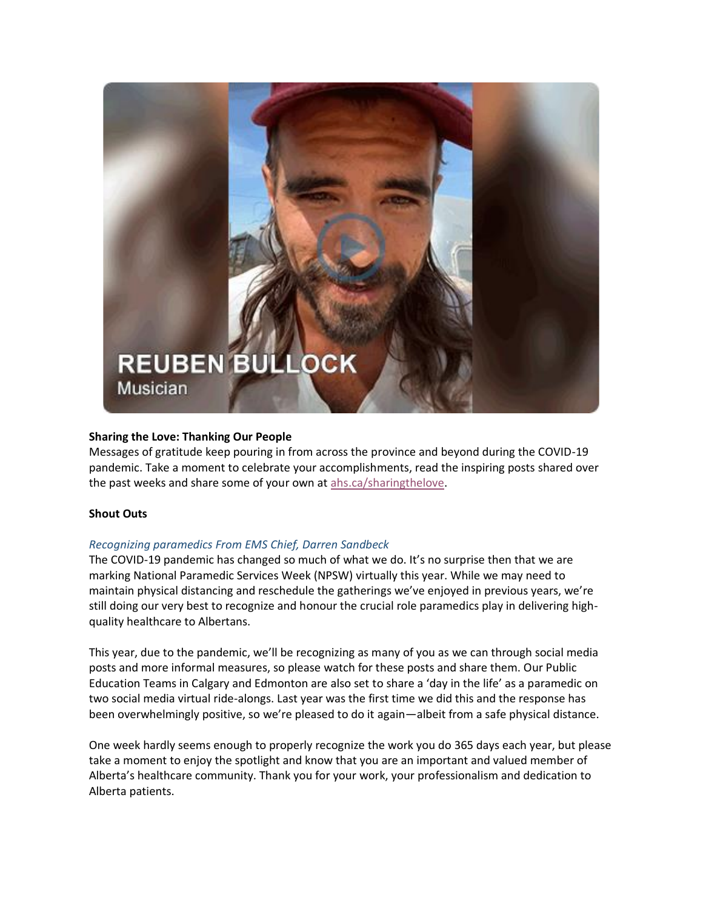

#### **Sharing the Love: Thanking Our People**

Messages of gratitude keep pouring in from across the province and beyond during the COVID-19 pandemic. Take a moment to celebrate your accomplishments, read the inspiring posts shared over the past weeks and share some of your own at [ahs.ca/sharingthelove.](http://www.ahs.ca/sharingthelove)

#### **Shout Outs**

#### *Recognizing paramedics From EMS Chief, Darren Sandbeck*

The COVID-19 pandemic has changed so much of what we do. It's no surprise then that we are marking National Paramedic Services Week (NPSW) virtually this year. While we may need to maintain physical distancing and reschedule the gatherings we've enjoyed in previous years, we're still doing our very best to recognize and honour the crucial role paramedics play in delivering highquality healthcare to Albertans.

This year, due to the pandemic, we'll be recognizing as many of you as we can through social media posts and more informal measures, so please watch for these posts and share them. Our Public Education Teams in Calgary and Edmonton are also set to share a 'day in the life' as a paramedic on two social media virtual ride-alongs. Last year was the first time we did this and the response has been overwhelmingly positive, so we're pleased to do it again—albeit from a safe physical distance.

One week hardly seems enough to properly recognize the work you do 365 days each year, but please take a moment to enjoy the spotlight and know that you are an important and valued member of Alberta's healthcare community. Thank you for your work, your professionalism and dedication to Alberta patients.